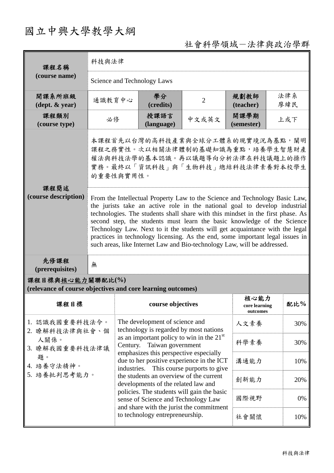# 國立中興大學教學大綱

## 社會科學領域-法律與政治學群

| 課程名稱<br>(course name)                                                           | 科技與法律                                                                                                                                                                                                                                                                                                                                                                                                                                                                                                                                                                |                                                                                                                                                          |                                          |                                   |            |  |
|---------------------------------------------------------------------------------|----------------------------------------------------------------------------------------------------------------------------------------------------------------------------------------------------------------------------------------------------------------------------------------------------------------------------------------------------------------------------------------------------------------------------------------------------------------------------------------------------------------------------------------------------------------------|----------------------------------------------------------------------------------------------------------------------------------------------------------|------------------------------------------|-----------------------------------|------------|--|
|                                                                                 | Science and Technology Laws                                                                                                                                                                                                                                                                                                                                                                                                                                                                                                                                          |                                                                                                                                                          |                                          |                                   |            |  |
| 開課系所班級<br>$(\text{dept.} \& \text{ year})$                                      | 通識教育中心                                                                                                                                                                                                                                                                                                                                                                                                                                                                                                                                                               | 學分<br>(credits)                                                                                                                                          | $\overline{2}$                           | 規劃教師<br>(teacher)                 | 法律系<br>廖緯民 |  |
| 課程類別<br>(course type)                                                           | 必修                                                                                                                                                                                                                                                                                                                                                                                                                                                                                                                                                                   | 授課語言<br>(language)                                                                                                                                       | 中文或英文                                    | 開課學期<br>(semester)                | 上或下        |  |
| 課程簡述                                                                            | 本課程首先以台灣的高科技產業與全球分工體系的現實境況為基點,闡明<br>課程之務實性。次以相關法律體制的基礎知識為重點,培養學生智慧財產<br>權法與科技法學的基本認識。再以議題導向分析法律在科技議題上的操作<br>實務。最終以「資訊科技」與「生物科技」總結科技法律素養對本校學生<br>的重要性與實用性。                                                                                                                                                                                                                                                                                                                                                                                                            |                                                                                                                                                          |                                          |                                   |            |  |
| (course description)                                                            | From the Intellectual Property Law to the Science and Technology Basic Law,<br>the jurists take an active role in the national goal to develop industrial<br>technologies. The students shall share with this mindset in the first phase. As<br>second step, the students must learn the basic knowledge of the Science<br>Technology Law. Next to it the students will get acquaintance with the legal<br>practices in technology licensing. As the end, some important legal issues in<br>such areas, like Internet Law and Bio-technology Law, will be addressed. |                                                                                                                                                          |                                          |                                   |            |  |
| 先修課程<br>(prerequisites)                                                         | 無                                                                                                                                                                                                                                                                                                                                                                                                                                                                                                                                                                    |                                                                                                                                                          |                                          |                                   |            |  |
| 課程目標與核心能力關聯配比(%)<br>(relevance of course objectives and core learning outcomes) |                                                                                                                                                                                                                                                                                                                                                                                                                                                                                                                                                                      |                                                                                                                                                          |                                          |                                   |            |  |
| 課程目標                                                                            |                                                                                                                                                                                                                                                                                                                                                                                                                                                                                                                                                                      | course objectives                                                                                                                                        |                                          | 核心能力<br>core learning<br>outcomes | 配比%        |  |
| 1. 認識我國重要科技法令。<br>2. 瞭解科技法律與社會、個                                                |                                                                                                                                                                                                                                                                                                                                                                                                                                                                                                                                                                      | The development of science and<br>technology is regarded by most nations<br>as an important policy to win in the $21st$<br>Taiwan government<br>Century. |                                          | 人文素養                              | 30%        |  |
| 人關係。<br>3. 瞭解我國重要科技法律議                                                          |                                                                                                                                                                                                                                                                                                                                                                                                                                                                                                                                                                      |                                                                                                                                                          |                                          | 科學素養                              | 30%        |  |
| 題。<br>4. 培養守法精神。                                                                |                                                                                                                                                                                                                                                                                                                                                                                                                                                                                                                                                                      | emphasizes this perspective especially<br>due to her positive experience in the ICT<br>industries. This course purports to give                          | 溝通能力                                     | 10%                               |            |  |
| 5. 培養批判思考能力。                                                                    |                                                                                                                                                                                                                                                                                                                                                                                                                                                                                                                                                                      | the students an overview of the current<br>developments of the related law and                                                                           |                                          | 創新能力                              | 20%        |  |
|                                                                                 |                                                                                                                                                                                                                                                                                                                                                                                                                                                                                                                                                                      | policies. The students will gain the basic<br>sense of Science and Technology Law                                                                        |                                          | 國際視野                              | 0%         |  |
|                                                                                 |                                                                                                                                                                                                                                                                                                                                                                                                                                                                                                                                                                      | to technology entrepreneurship.                                                                                                                          | and share with the jurist the commitment | 社會關懷                              | 10%        |  |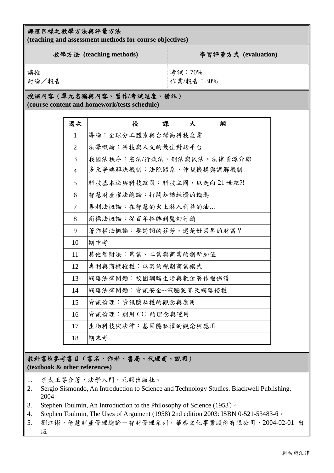### 課程目標之教學方法與評量方法

**(teaching and assessment methods for course objectives)** 

| 教學方法 (teaching methods) | 學習評量方式 (evaluation) |
|-------------------------|---------------------|
| 講授                      | 考試:70%              |
| 討論/報告                   | 作業/報告:30%           |

### 授課內容(單元名稱與內容、習作**/**考試進度、備註)

**(course content and homework/tests schedule)** 

| 週次             | 授<br>課<br>綱<br>大          |
|----------------|---------------------------|
| 1              | 導論:全球分工體系與台灣高科技產業         |
| $\overline{2}$ | 法學概論:科技與人文的最佳對話平台         |
| 3              | 我國法秩序:憲法/行政法、刑法與民法。法律資源介紹 |
| $\overline{4}$ | 多元爭端解決機制:法院體系、仲裁機構與調解機制   |
| 5              | 科技基本法與科技政策:科技立國,以走向21世紀?! |
| 6              | 智慧財產權法總論:打開知識經濟的鑰匙        |
| 7              | 專利法概論:在智慧的火上淋入利益的油        |
| 8              | 商標法概論:從百年招牌到魔幻行銷          |
| 9              | 著作權法概論:要詩詞的芬芳、還是好萊屋的財富?   |
| 10             | 期中考                       |
| 11             | 其他智財法:農業、工業與商業的創新加值       |
| 12             | 專利與商標授權:以契約規劃商業模式         |
| 13             | 網路法律問題:校園網路生活與數位著作權保護     |
| 14             | 網路法律問題:資訊安全--電腦犯罪及網路侵權    |
| 15             | 資訊倫理:資訊隱私權的觀念與應用          |
| 16             | 資訊倫理:創用CC 的理念與運用          |
| 17             | 生物科技與法律:基因隱私權的觀念與應用       |
| 18             | 期末考                       |

## 教科書**&**參考書目(書名、作者、書局、代理商、說明)

**(textbook & other references)**

- 1. 李太正等合著,法學入門,元照出版社。
- 2. Sergio Sismondo, An Introduction to Science and Technology Studies. Blackwell Publishing, 2004。
- 3. Stephen Toulmin, An Introduction to the Philosophy of Science (1953)。
- 4. Stephen Toulmin, The Uses of Argument (1958) 2nd edition 2003: ISBN 0-521-53483-6。
- 5. 劉江彬,智慧財產管理總論-智財管理系列,華泰文化事業股份有限公司,2004-02-01 出 版。